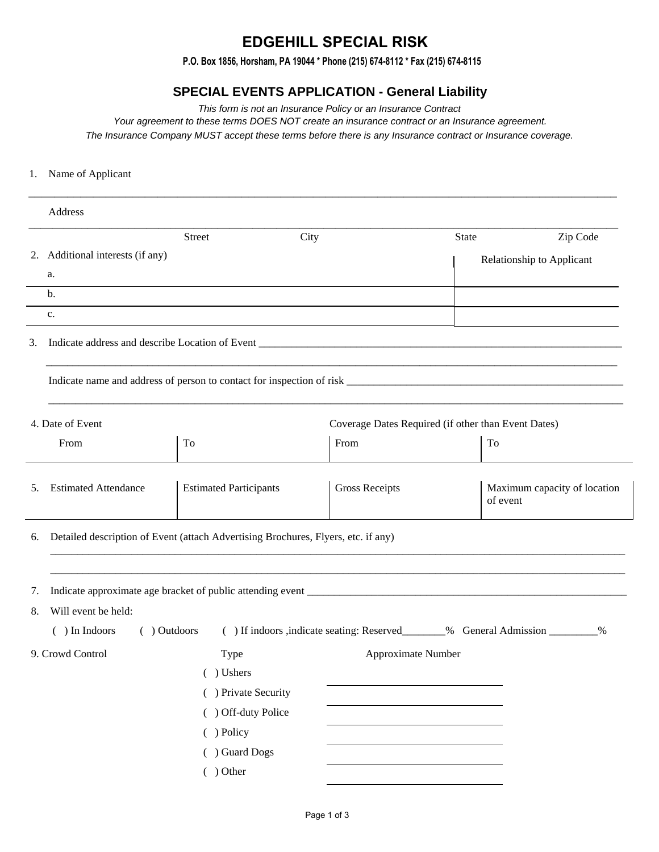## **EDGEHILL SPECIAL RISK**

**P.O. Box 1856, Horsham, PA 19044 \* Phone (215) 674-8112 \* Fax (215) 674-8115**

## **SPECIAL EVENTS APPLICATION - General Liability**

This form is not an Insurance Policy or an Insurance Contract

Your agreement to these terms DOES NOT create an insurance contract or an Insurance agreement. The Insurance Company MUST accept these terms before there is any Insurance contract or Insurance coverage.

\_\_\_\_\_\_\_\_\_\_\_\_\_\_\_\_\_\_\_\_\_\_\_\_\_\_\_\_\_\_\_\_\_\_\_\_\_\_\_\_\_\_\_\_\_\_\_\_\_\_\_\_\_\_\_\_\_\_\_\_\_\_\_\_\_\_\_\_\_\_\_\_\_\_\_\_\_\_\_\_\_\_\_\_\_\_\_\_\_\_\_

## 1. Name of Applicant

|          | Address                                                                           |                               |      |                                                     |              |                                                                                  |          |
|----------|-----------------------------------------------------------------------------------|-------------------------------|------|-----------------------------------------------------|--------------|----------------------------------------------------------------------------------|----------|
|          |                                                                                   | Street                        | City |                                                     | <b>State</b> |                                                                                  | Zip Code |
|          | 2. Additional interests (if any)                                                  |                               |      |                                                     |              | Relationship to Applicant                                                        |          |
|          | a.                                                                                |                               |      |                                                     |              |                                                                                  |          |
|          | $\mathbf b$ .                                                                     |                               |      |                                                     |              |                                                                                  |          |
|          | c.                                                                                |                               |      |                                                     |              |                                                                                  |          |
| 3.       |                                                                                   |                               |      |                                                     |              |                                                                                  |          |
|          |                                                                                   |                               |      |                                                     |              |                                                                                  |          |
|          | 4. Date of Event                                                                  |                               |      | Coverage Dates Required (if other than Event Dates) |              |                                                                                  |          |
|          | From                                                                              | To                            | From |                                                     |              | To                                                                               |          |
| 5.       | <b>Estimated Attendance</b>                                                       | <b>Estimated Participants</b> |      | <b>Gross Receipts</b>                               |              | Maximum capacity of location<br>of event                                         |          |
| 6.       | Detailed description of Event (attach Advertising Brochures, Flyers, etc. if any) |                               |      |                                                     |              |                                                                                  |          |
| 7.<br>8. | Will event be held:                                                               |                               |      |                                                     |              |                                                                                  |          |
|          | ( ) Outdoors<br>( ) In Indoors                                                    |                               |      |                                                     |              | () If indoors , indicate seating: Reserved________% General Admission _________% |          |
|          | 9. Crowd Control                                                                  | Type                          |      | Approximate Number                                  |              |                                                                                  |          |
|          |                                                                                   | () Ushers                     |      |                                                     |              |                                                                                  |          |
|          |                                                                                   | ( ) Private Security          |      |                                                     |              |                                                                                  |          |
|          |                                                                                   | ( ) Off-duty Police           |      |                                                     |              |                                                                                  |          |
|          |                                                                                   | ( ) Policy                    |      |                                                     |              |                                                                                  |          |
|          |                                                                                   | ( ) Guard Dogs                |      |                                                     |              |                                                                                  |          |
|          |                                                                                   | $( )$ Other                   |      |                                                     |              |                                                                                  |          |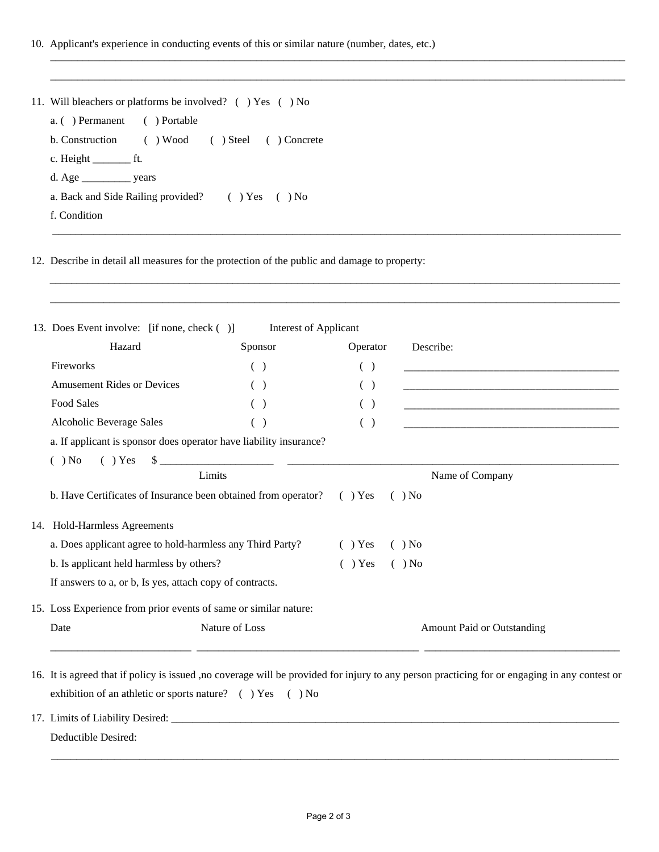10. Applicant's experience in conducting events of this or similar nature (number, dates, etc.)

| 11. Will bleachers or platforms be involved? () Yes () No |
|-----------------------------------------------------------|
| a. () Permanent () Portable                               |
| b. Construction () Wood () Steel () Concrete              |
| $c.$ Height $\rule{1em}{0.15mm}$ ft.                      |
|                                                           |
| a. Back and Side Railing provided? () Yes () No           |
| f. Condition                                              |

 $\mathcal{L}_\mathcal{L} = \mathcal{L}_\mathcal{L} = \mathcal{L}_\mathcal{L} = \mathcal{L}_\mathcal{L} = \mathcal{L}_\mathcal{L} = \mathcal{L}_\mathcal{L} = \mathcal{L}_\mathcal{L} = \mathcal{L}_\mathcal{L} = \mathcal{L}_\mathcal{L} = \mathcal{L}_\mathcal{L} = \mathcal{L}_\mathcal{L} = \mathcal{L}_\mathcal{L} = \mathcal{L}_\mathcal{L} = \mathcal{L}_\mathcal{L} = \mathcal{L}_\mathcal{L} = \mathcal{L}_\mathcal{L} = \mathcal{L}_\mathcal{L}$  $\mathcal{L}_\text{max}$  , and the set of the set of the set of the set of the set of the set of the set of the set of the set of the set of the set of the set of the set of the set of the set of the set of the set of the set of the

\_\_\_\_\_\_\_\_\_\_\_\_\_\_\_\_\_\_\_\_\_\_\_\_\_\_\_\_\_\_\_\_\_\_\_\_\_\_\_\_\_\_\_\_\_\_\_\_\_\_\_\_\_\_\_\_\_\_\_\_\_\_\_\_\_\_\_\_\_\_\_\_\_\_\_\_\_\_\_\_\_\_\_\_\_\_\_\_\_\_\_\_\_\_\_\_\_\_\_\_\_\_\_\_\_\_ \_\_\_\_\_\_\_\_\_\_\_\_\_\_\_\_\_\_\_\_\_\_\_\_\_\_\_\_\_\_\_\_\_\_\_\_\_\_\_\_\_\_\_\_\_\_\_\_\_\_\_\_\_\_\_\_\_\_\_\_\_\_\_\_\_\_\_\_\_\_\_\_\_\_\_\_\_\_\_\_\_\_\_\_\_\_\_\_\_\_\_\_\_\_\_\_\_\_\_\_\_\_\_\_\_\_

12. Describe in detail all measures for the protection of the public and damage to property:

|  | 13. Does Event involve: [if none, check ()]                           | <b>Interest of Applicant</b> |           |                                   |  |  |
|--|-----------------------------------------------------------------------|------------------------------|-----------|-----------------------------------|--|--|
|  | Hazard                                                                | Sponsor                      | Operator  | Describe:                         |  |  |
|  | Fireworks                                                             | $($ )                        | ( )       |                                   |  |  |
|  | <b>Amusement Rides or Devices</b>                                     | ( )                          | ( )       |                                   |  |  |
|  | Food Sales                                                            | ( )                          | ( )       |                                   |  |  |
|  | Alcoholic Beverage Sales                                              | ( )                          | ( )       |                                   |  |  |
|  | a. If applicant is sponsor does operator have liability insurance?    |                              |           |                                   |  |  |
|  | $( )$ No                                                              | ( ) Yes S                    |           |                                   |  |  |
|  |                                                                       | Limits                       |           | Name of Company                   |  |  |
|  | b. Have Certificates of Insurance been obtained from operator? () Yes |                              |           | $( )$ No                          |  |  |
|  | 14. Hold-Harmless Agreements                                          |                              |           |                                   |  |  |
|  | a. Does applicant agree to hold-harmless any Third Party?             |                              | $( )$ Yes | $( )$ No                          |  |  |
|  | b. Is applicant held harmless by others?                              |                              | $( )$ Yes | $( )$ No                          |  |  |
|  | If answers to a, or b, Is yes, attach copy of contracts.              |                              |           |                                   |  |  |
|  | 15. Loss Experience from prior events of same or similar nature:      |                              |           |                                   |  |  |
|  | Date                                                                  | Nature of Loss               |           | <b>Amount Paid or Outstanding</b> |  |  |
|  |                                                                       |                              |           |                                   |  |  |
|  |                                                                       |                              |           |                                   |  |  |

16. It is agreed that if policy is issued ,no coverage will be provided for injury to any person practicing for or engaging in any contest or exhibition of an athletic or sports nature? ( ) Yes ( ) No

17. Limits of Liability Desired: \_\_\_\_\_\_\_\_\_\_\_\_\_\_\_\_\_\_\_\_\_\_\_\_\_\_\_\_\_\_\_\_\_\_\_\_\_\_\_\_\_\_\_\_\_\_\_\_\_\_\_\_\_\_\_\_\_\_\_\_\_\_\_\_\_\_\_\_\_\_\_\_\_\_\_\_\_\_\_\_\_\_\_\_

\_\_\_\_\_\_\_\_\_\_\_\_\_\_\_\_\_\_\_\_\_\_\_\_\_\_\_\_\_\_\_\_\_\_\_\_\_\_\_\_\_\_\_\_\_\_\_\_\_\_\_\_\_\_\_\_\_\_\_\_\_\_\_\_\_\_\_\_\_\_\_\_\_\_\_\_\_\_\_\_\_\_\_\_\_\_\_\_\_\_